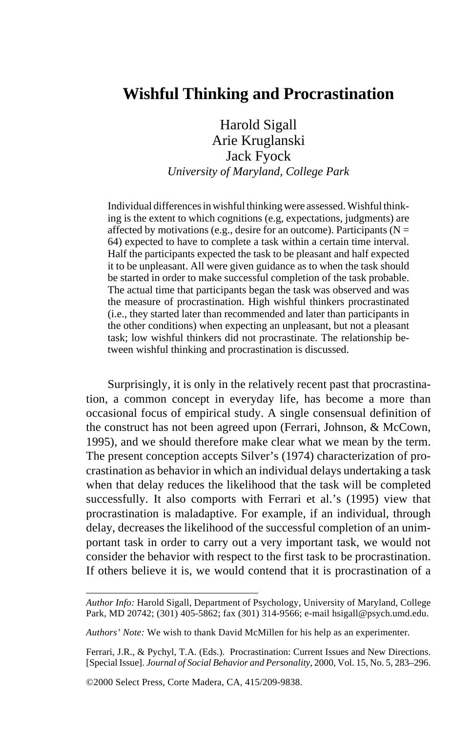# **Wishful Thinking and Procrastination**

Harold Sigall Arie Kruglanski Jack Fyock *University of Maryland, College Park*

Individual differences in wishful thinking were assessed. Wishful thinking is the extent to which cognitions (e.g, expectations, judgments) are affected by motivations (e.g., desire for an outcome). Participants ( $N =$ 64) expected to have to complete a task within a certain time interval. Half the participants expected the task to be pleasant and half expected it to be unpleasant. All were given guidance as to when the task should be started in order to make successful completion of the task probable. The actual time that participants began the task was observed and was the measure of procrastination. High wishful thinkers procrastinated (i.e., they started later than recommended and later than participants in the other conditions) when expecting an unpleasant, but not a pleasant task; low wishful thinkers did not procrastinate. The relationship between wishful thinking and procrastination is discussed.

Surprisingly, it is only in the relatively recent past that procrastination, a common concept in everyday life, has become a more than occasional focus of empirical study. A single consensual definition of the construct has not been agreed upon (Ferrari, Johnson, & McCown, 1995), and we should therefore make clear what we mean by the term. The present conception accepts Silver's (1974) characterization of procrastination as behavior in which an individual delays undertaking a task when that delay reduces the likelihood that the task will be completed successfully. It also comports with Ferrari et al.'s (1995) view that procrastination is maladaptive. For example, if an individual, through delay, decreases the likelihood of the successful completion of an unimportant task in order to carry out a very important task, we would not consider the behavior with respect to the first task to be procrastination. If others believe it is, we would contend that it is procrastination of a

*Author Info:* Harold Sigall, Department of Psychology, University of Maryland, College Park, MD 20742; (301) 405-5862; fax (301) 314-9566; e-mail hsigall@psych.umd.edu.

*Authors' Note:* We wish to thank David McMillen for his help as an experimenter.

Ferrari, J.R., & Pychyl, T.A. (Eds.). Procrastination: Current Issues and New Directions. [Special Issue]. *Journal of Social Behavior and Personality*, 2000, Vol. 15, No. 5, 283–296.

<sup>©2000</sup> Select Press, Corte Madera, CA, 415/209-9838.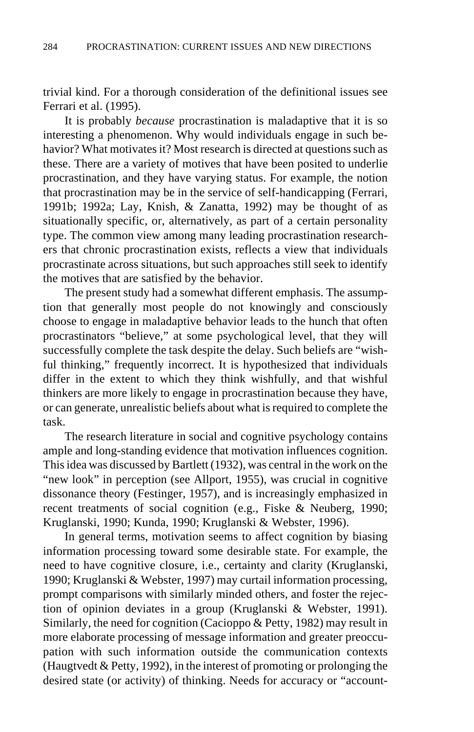trivial kind. For a thorough consideration of the definitional issues see Ferrari et al. (1995).

It is probably *because* procrastination is maladaptive that it is so interesting a phenomenon. Why would individuals engage in such behavior? What motivates it? Most research is directed at questions such as these. There are a variety of motives that have been posited to underlie procrastination, and they have varying status. For example, the notion that procrastination may be in the service of self-handicapping (Ferrari, 1991b; 1992a; Lay, Knish, & Zanatta, 1992) may be thought of as situationally specific, or, alternatively, as part of a certain personality type. The common view among many leading procrastination researchers that chronic procrastination exists, reflects a view that individuals procrastinate across situations, but such approaches still seek to identify the motives that are satisfied by the behavior.

The present study had a somewhat different emphasis. The assumption that generally most people do not knowingly and consciously choose to engage in maladaptive behavior leads to the hunch that often procrastinators "believe," at some psychological level, that they will successfully complete the task despite the delay. Such beliefs are "wishful thinking," frequently incorrect. It is hypothesized that individuals differ in the extent to which they think wishfully, and that wishful thinkers are more likely to engage in procrastination because they have, or can generate, unrealistic beliefs about what is required to complete the task.

The research literature in social and cognitive psychology contains ample and long-standing evidence that motivation influences cognition. This idea was discussed by Bartlett (1932), was central in the work on the "new look" in perception (see Allport, 1955), was crucial in cognitive dissonance theory (Festinger, 1957), and is increasingly emphasized in recent treatments of social cognition (e.g., Fiske & Neuberg, 1990; Kruglanski, 1990; Kunda, 1990; Kruglanski & Webster, 1996).

In general terms, motivation seems to affect cognition by biasing information processing toward some desirable state. For example, the need to have cognitive closure, i.e., certainty and clarity (Kruglanski, 1990; Kruglanski & Webster, 1997) may curtail information processing, prompt comparisons with similarly minded others, and foster the rejection of opinion deviates in a group (Kruglanski & Webster, 1991). Similarly, the need for cognition (Cacioppo & Petty, 1982) may result in more elaborate processing of message information and greater preoccupation with such information outside the communication contexts (Haugtvedt & Petty, 1992), in the interest of promoting or prolonging the desired state (or activity) of thinking. Needs for accuracy or "account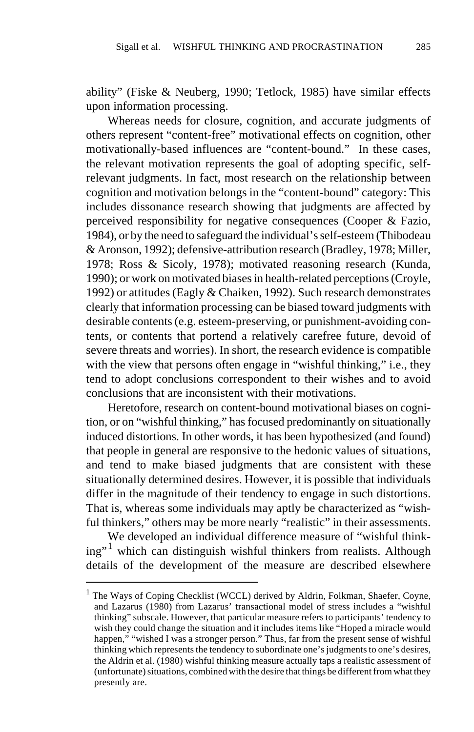ability" (Fiske & Neuberg, 1990; Tetlock, 1985) have similar effects upon information processing.

Whereas needs for closure, cognition, and accurate judgments of others represent "content-free" motivational effects on cognition, other motivationally-based influences are "content-bound." In these cases, the relevant motivation represents the goal of adopting specific, selfrelevant judgments. In fact, most research on the relationship between cognition and motivation belongs in the "content-bound" category: This includes dissonance research showing that judgments are affected by perceived responsibility for negative consequences (Cooper & Fazio, 1984), or by the need to safeguard the individual's self-esteem (Thibodeau & Aronson, 1992); defensive-attribution research (Bradley, 1978; Miller, 1978; Ross & Sicoly, 1978); motivated reasoning research (Kunda, 1990); or work on motivated biases in health-related perceptions (Croyle, 1992) or attitudes (Eagly & Chaiken, 1992). Such research demonstrates clearly that information processing can be biased toward judgments with desirable contents (e.g. esteem-preserving, or punishment-avoiding contents, or contents that portend a relatively carefree future, devoid of severe threats and worries). In short, the research evidence is compatible with the view that persons often engage in "wishful thinking," i.e., they tend to adopt conclusions correspondent to their wishes and to avoid conclusions that are inconsistent with their motivations.

Heretofore, research on content-bound motivational biases on cognition, or on "wishful thinking," has focused predominantly on situationally induced distortions. In other words, it has been hypothesized (and found) that people in general are responsive to the hedonic values of situations, and tend to make biased judgments that are consistent with these situationally determined desires. However, it is possible that individuals differ in the magnitude of their tendency to engage in such distortions. That is, whereas some individuals may aptly be characterized as "wishful thinkers," others may be more nearly "realistic" in their assessments.

We developed an individual difference measure of "wishful thinking"<sup>1</sup> which can distinguish wishful thinkers from realists. Although details of the development of the measure are described elsewhere

<sup>&</sup>lt;sup>1</sup> The Ways of Coping Checklist (WCCL) derived by Aldrin, Folkman, Shaefer, Coyne, and Lazarus (1980) from Lazarus' transactional model of stress includes a "wishful thinking" subscale. However, that particular measure refers to participants' tendency to wish they could change the situation and it includes items like "Hoped a miracle would happen," "wished I was a stronger person." Thus, far from the present sense of wishful thinking which represents the tendency to subordinate one's judgments to one's desires, the Aldrin et al. (1980) wishful thinking measure actually taps a realistic assessment of (unfortunate) situations, combined with the desire that things be different from what they presently are.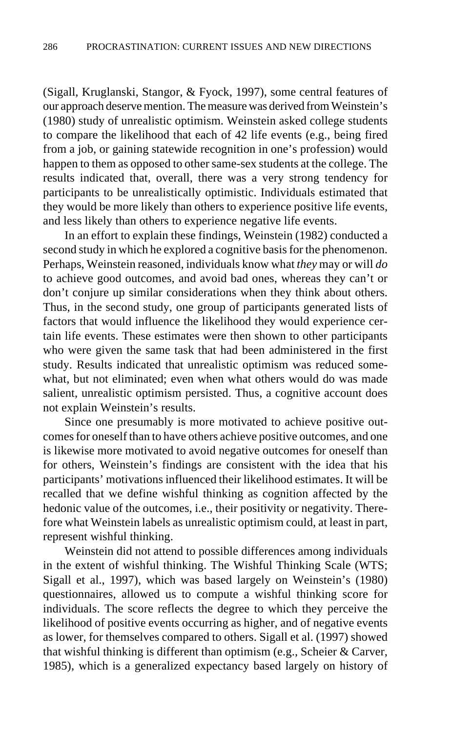(Sigall, Kruglanski, Stangor, & Fyock, 1997), some central features of our approach deserve mention. The measure was derived from Weinstein's (1980) study of unrealistic optimism. Weinstein asked college students to compare the likelihood that each of 42 life events (e.g., being fired from a job, or gaining statewide recognition in one's profession) would happen to them as opposed to other same-sex students at the college. The results indicated that, overall, there was a very strong tendency for participants to be unrealistically optimistic. Individuals estimated that they would be more likely than others to experience positive life events, and less likely than others to experience negative life events.

In an effort to explain these findings, Weinstein (1982) conducted a second study in which he explored a cognitive basis for the phenomenon. Perhaps, Weinstein reasoned, individuals know what *they* may or will *do* to achieve good outcomes, and avoid bad ones, whereas they can't or don't conjure up similar considerations when they think about others. Thus, in the second study, one group of participants generated lists of factors that would influence the likelihood they would experience certain life events. These estimates were then shown to other participants who were given the same task that had been administered in the first study. Results indicated that unrealistic optimism was reduced somewhat, but not eliminated; even when what others would do was made salient, unrealistic optimism persisted. Thus, a cognitive account does not explain Weinstein's results.

Since one presumably is more motivated to achieve positive outcomes for oneself than to have others achieve positive outcomes, and one is likewise more motivated to avoid negative outcomes for oneself than for others, Weinstein's findings are consistent with the idea that his participants' motivations influenced their likelihood estimates. It will be recalled that we define wishful thinking as cognition affected by the hedonic value of the outcomes, i.e., their positivity or negativity. Therefore what Weinstein labels as unrealistic optimism could, at least in part, represent wishful thinking.

Weinstein did not attend to possible differences among individuals in the extent of wishful thinking. The Wishful Thinking Scale (WTS; Sigall et al., 1997), which was based largely on Weinstein's (1980) questionnaires, allowed us to compute a wishful thinking score for individuals. The score reflects the degree to which they perceive the likelihood of positive events occurring as higher, and of negative events as lower, for themselves compared to others. Sigall et al. (1997) showed that wishful thinking is different than optimism (e.g., Scheier & Carver, 1985), which is a generalized expectancy based largely on history of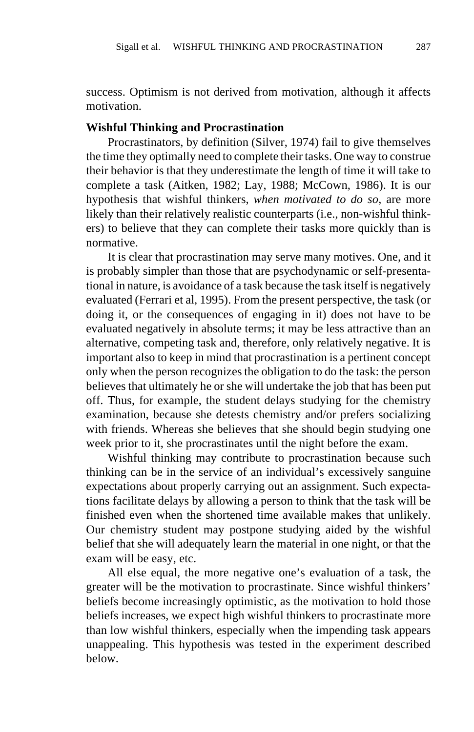success. Optimism is not derived from motivation, although it affects motivation.

#### **Wishful Thinking and Procrastination**

Procrastinators, by definition (Silver, 1974) fail to give themselves the time they optimally need to complete their tasks. One way to construe their behavior is that they underestimate the length of time it will take to complete a task (Aitken, 1982; Lay, 1988; McCown, 1986). It is our hypothesis that wishful thinkers, *when motivated to do so*, are more likely than their relatively realistic counterparts (i.e., non-wishful thinkers) to believe that they can complete their tasks more quickly than is normative.

It is clear that procrastination may serve many motives. One, and it is probably simpler than those that are psychodynamic or self-presentational in nature, is avoidance of a task because the task itself is negatively evaluated (Ferrari et al, 1995). From the present perspective, the task (or doing it, or the consequences of engaging in it) does not have to be evaluated negatively in absolute terms; it may be less attractive than an alternative, competing task and, therefore, only relatively negative. It is important also to keep in mind that procrastination is a pertinent concept only when the person recognizes the obligation to do the task: the person believes that ultimately he or she will undertake the job that has been put off. Thus, for example, the student delays studying for the chemistry examination, because she detests chemistry and/or prefers socializing with friends. Whereas she believes that she should begin studying one week prior to it, she procrastinates until the night before the exam.

Wishful thinking may contribute to procrastination because such thinking can be in the service of an individual's excessively sanguine expectations about properly carrying out an assignment. Such expectations facilitate delays by allowing a person to think that the task will be finished even when the shortened time available makes that unlikely. Our chemistry student may postpone studying aided by the wishful belief that she will adequately learn the material in one night, or that the exam will be easy, etc.

All else equal, the more negative one's evaluation of a task, the greater will be the motivation to procrastinate. Since wishful thinkers' beliefs become increasingly optimistic, as the motivation to hold those beliefs increases, we expect high wishful thinkers to procrastinate more than low wishful thinkers, especially when the impending task appears unappealing. This hypothesis was tested in the experiment described below.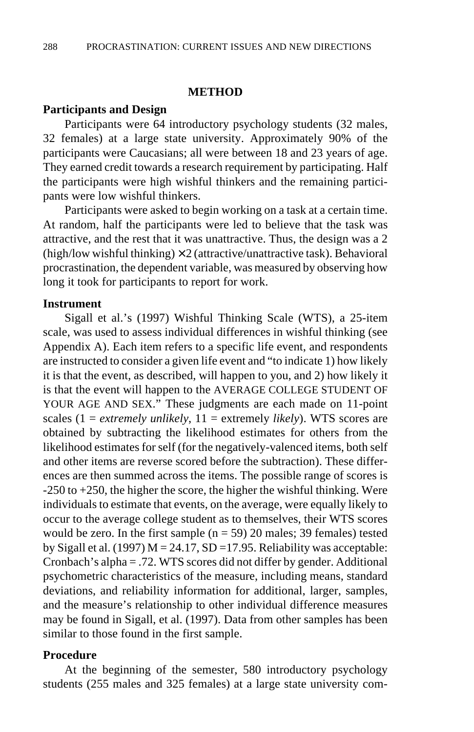## **METHOD**

## **Participants and Design**

Participants were 64 introductory psychology students (32 males, 32 females) at a large state university. Approximately 90% of the participants were Caucasians; all were between 18 and 23 years of age. They earned credit towards a research requirement by participating. Half the participants were high wishful thinkers and the remaining participants were low wishful thinkers.

Participants were asked to begin working on a task at a certain time. At random, half the participants were led to believe that the task was attractive, and the rest that it was unattractive. Thus, the design was a 2 (high/low wishful thinking)  $\times$  2 (attractive/unattractive task). Behavioral procrastination, the dependent variable, was measured by observing how long it took for participants to report for work.

## **Instrument**

Sigall et al.'s (1997) Wishful Thinking Scale (WTS), a 25-item scale, was used to assess individual differences in wishful thinking (see Appendix A). Each item refers to a specific life event, and respondents are instructed to consider a given life event and "to indicate 1) how likely it is that the event, as described, will happen to you, and 2) how likely it is that the event will happen to the AVERAGE COLLEGE STUDENT OF YOUR AGE AND SEX." These judgments are each made on 11-point scales (1 = *extremely unlikely*, 11 = extremely *likely*). WTS scores are obtained by subtracting the likelihood estimates for others from the likelihood estimates for self (for the negatively-valenced items, both self and other items are reverse scored before the subtraction). These differences are then summed across the items. The possible range of scores is -250 to +250, the higher the score, the higher the wishful thinking. Were individuals to estimate that events, on the average, were equally likely to occur to the average college student as to themselves, their WTS scores would be zero. In the first sample ( $n = 59$ ) 20 males; 39 females) tested by Sigall et al. (1997)  $M = 24.17$ , SD =17.95. Reliability was acceptable: Cronbach's alpha = .72. WTS scores did not differ by gender. Additional psychometric characteristics of the measure, including means, standard deviations, and reliability information for additional, larger, samples, and the measure's relationship to other individual difference measures may be found in Sigall, et al. (1997). Data from other samples has been similar to those found in the first sample.

#### **Procedure**

At the beginning of the semester, 580 introductory psychology students (255 males and 325 females) at a large state university com-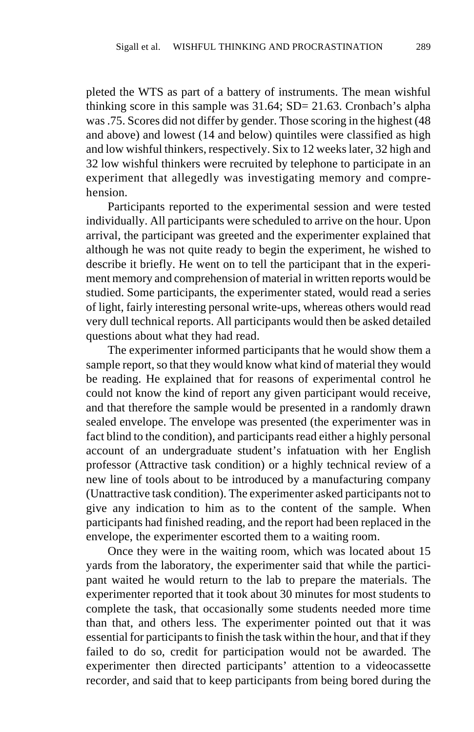pleted the WTS as part of a battery of instruments. The mean wishful thinking score in this sample was 31.64; SD= 21.63. Cronbach's alpha was .75. Scores did not differ by gender. Those scoring in the highest (48 and above) and lowest (14 and below) quintiles were classified as high and low wishful thinkers, respectively. Six to 12 weeks later, 32 high and 32 low wishful thinkers were recruited by telephone to participate in an experiment that allegedly was investigating memory and comprehension.

Participants reported to the experimental session and were tested individually. All participants were scheduled to arrive on the hour. Upon arrival, the participant was greeted and the experimenter explained that although he was not quite ready to begin the experiment, he wished to describe it briefly. He went on to tell the participant that in the experiment memory and comprehension of material in written reports would be studied. Some participants, the experimenter stated, would read a series of light, fairly interesting personal write-ups, whereas others would read very dull technical reports. All participants would then be asked detailed questions about what they had read.

The experimenter informed participants that he would show them a sample report, so that they would know what kind of material they would be reading. He explained that for reasons of experimental control he could not know the kind of report any given participant would receive, and that therefore the sample would be presented in a randomly drawn sealed envelope. The envelope was presented (the experimenter was in fact blind to the condition), and participants read either a highly personal account of an undergraduate student's infatuation with her English professor (Attractive task condition) or a highly technical review of a new line of tools about to be introduced by a manufacturing company (Unattractive task condition). The experimenter asked participants not to give any indication to him as to the content of the sample. When participants had finished reading, and the report had been replaced in the envelope, the experimenter escorted them to a waiting room.

Once they were in the waiting room, which was located about 15 yards from the laboratory, the experimenter said that while the participant waited he would return to the lab to prepare the materials. The experimenter reported that it took about 30 minutes for most students to complete the task, that occasionally some students needed more time than that, and others less. The experimenter pointed out that it was essential for participants to finish the task within the hour, and that if they failed to do so, credit for participation would not be awarded. The experimenter then directed participants' attention to a videocassette recorder, and said that to keep participants from being bored during the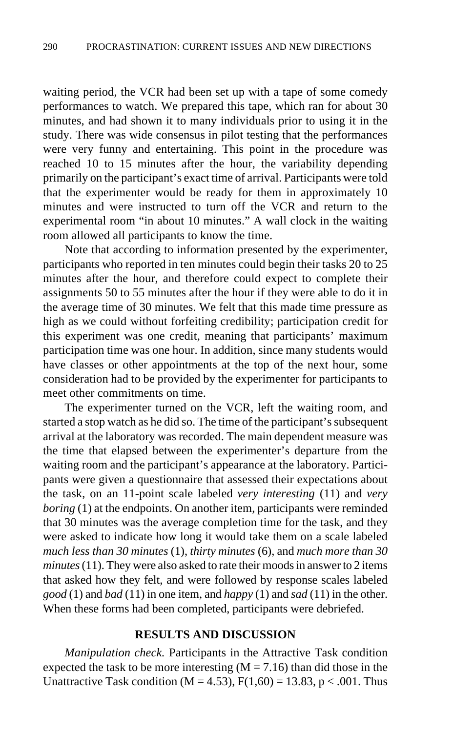waiting period, the VCR had been set up with a tape of some comedy performances to watch. We prepared this tape, which ran for about 30 minutes, and had shown it to many individuals prior to using it in the study. There was wide consensus in pilot testing that the performances were very funny and entertaining. This point in the procedure was reached 10 to 15 minutes after the hour, the variability depending primarily on the participant's exact time of arrival. Participants were told that the experimenter would be ready for them in approximately 10 minutes and were instructed to turn off the VCR and return to the experimental room "in about 10 minutes." A wall clock in the waiting room allowed all participants to know the time.

Note that according to information presented by the experimenter, participants who reported in ten minutes could begin their tasks 20 to 25 minutes after the hour, and therefore could expect to complete their assignments 50 to 55 minutes after the hour if they were able to do it in the average time of 30 minutes. We felt that this made time pressure as high as we could without forfeiting credibility; participation credit for this experiment was one credit, meaning that participants' maximum participation time was one hour. In addition, since many students would have classes or other appointments at the top of the next hour, some consideration had to be provided by the experimenter for participants to meet other commitments on time.

The experimenter turned on the VCR, left the waiting room, and started a stop watch as he did so. The time of the participant's subsequent arrival at the laboratory was recorded. The main dependent measure was the time that elapsed between the experimenter's departure from the waiting room and the participant's appearance at the laboratory. Participants were given a questionnaire that assessed their expectations about the task, on an 11-point scale labeled *very interesting* (11) and *very boring* (1) at the endpoints. On another item, participants were reminded that 30 minutes was the average completion time for the task, and they were asked to indicate how long it would take them on a scale labeled *much less than 30 minutes* (1), *thirty minutes* (6), and *much more than 30 minutes* (11). They were also asked to rate their moods in answer to 2 items that asked how they felt, and were followed by response scales labeled *good* (1) and *bad* (11) in one item, and *happy* (1) and *sad* (11) in the other. When these forms had been completed, participants were debriefed.

## **RESULTS AND DISCUSSION**

*Manipulation check.* Participants in the Attractive Task condition expected the task to be more interesting  $(M = 7.16)$  than did those in the Unattractive Task condition ( $M = 4.53$ ),  $F(1,60) = 13.83$ ,  $p < .001$ . Thus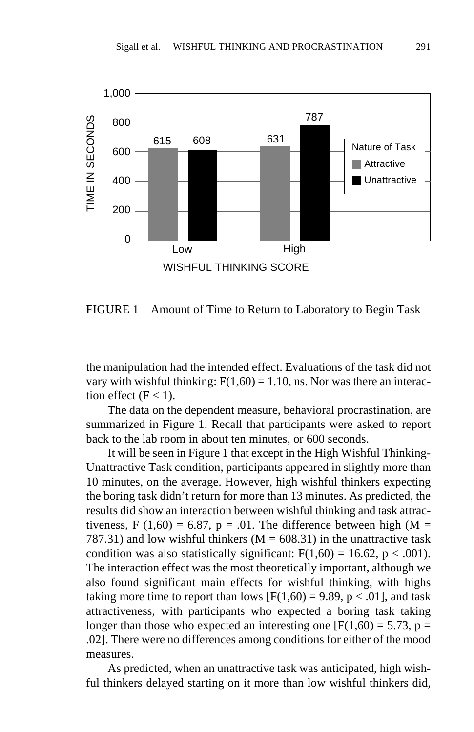

FIGURE 1 Amount of Time to Return to Laboratory to Begin Task

the manipulation had the intended effect. Evaluations of the task did not vary with wishful thinking:  $F(1,60) = 1.10$ , ns. Nor was there an interaction effect  $(F < 1)$ .

The data on the dependent measure, behavioral procrastination, are summarized in Figure 1. Recall that participants were asked to report back to the lab room in about ten minutes, or 600 seconds.

It will be seen in Figure 1 that except in the High Wishful Thinking-Unattractive Task condition, participants appeared in slightly more than 10 minutes, on the average. However, high wishful thinkers expecting the boring task didn't return for more than 13 minutes. As predicted, the results did show an interaction between wishful thinking and task attractiveness, F (1,60) = 6.87, p = .01. The difference between high ( $M =$ 787.31) and low wishful thinkers ( $M = 608.31$ ) in the unattractive task condition was also statistically significant:  $F(1,60) = 16.62$ ,  $p < .001$ ). The interaction effect was the most theoretically important, although we also found significant main effects for wishful thinking, with highs taking more time to report than lows  $[F(1,60) = 9.89, p < .01]$ , and task attractiveness, with participants who expected a boring task taking longer than those who expected an interesting one  $[F(1,60) = 5.73, p =$ .02]. There were no differences among conditions for either of the mood measures.

As predicted, when an unattractive task was anticipated, high wishful thinkers delayed starting on it more than low wishful thinkers did,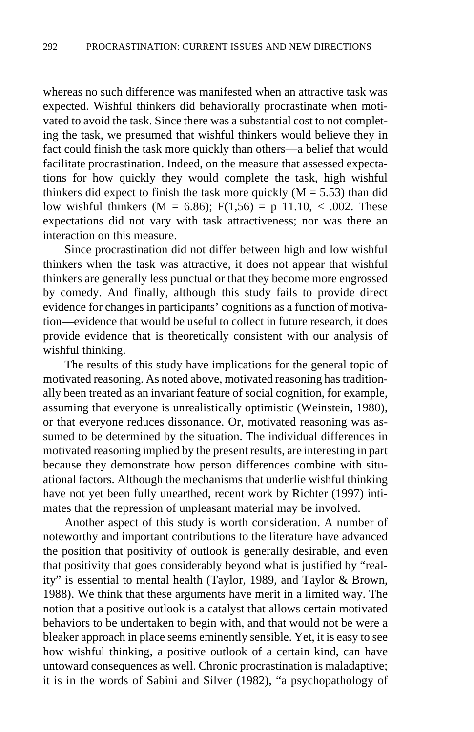whereas no such difference was manifested when an attractive task was expected. Wishful thinkers did behaviorally procrastinate when motivated to avoid the task. Since there was a substantial cost to not completing the task, we presumed that wishful thinkers would believe they in fact could finish the task more quickly than others—a belief that would facilitate procrastination. Indeed, on the measure that assessed expectations for how quickly they would complete the task, high wishful thinkers did expect to finish the task more quickly  $(M = 5.53)$  than did low wishful thinkers (M = 6.86);  $F(1,56) = p 11.10, < .002$ . These expectations did not vary with task attractiveness; nor was there an interaction on this measure.

Since procrastination did not differ between high and low wishful thinkers when the task was attractive, it does not appear that wishful thinkers are generally less punctual or that they become more engrossed by comedy. And finally, although this study fails to provide direct evidence for changes in participants' cognitions as a function of motivation—evidence that would be useful to collect in future research, it does provide evidence that is theoretically consistent with our analysis of wishful thinking.

The results of this study have implications for the general topic of motivated reasoning. As noted above, motivated reasoning has traditionally been treated as an invariant feature of social cognition, for example, assuming that everyone is unrealistically optimistic (Weinstein, 1980), or that everyone reduces dissonance. Or, motivated reasoning was assumed to be determined by the situation. The individual differences in motivated reasoning implied by the present results, are interesting in part because they demonstrate how person differences combine with situational factors. Although the mechanisms that underlie wishful thinking have not yet been fully unearthed, recent work by Richter (1997) intimates that the repression of unpleasant material may be involved.

Another aspect of this study is worth consideration. A number of noteworthy and important contributions to the literature have advanced the position that positivity of outlook is generally desirable, and even that positivity that goes considerably beyond what is justified by "reality" is essential to mental health (Taylor, 1989, and Taylor & Brown, 1988). We think that these arguments have merit in a limited way. The notion that a positive outlook is a catalyst that allows certain motivated behaviors to be undertaken to begin with, and that would not be were a bleaker approach in place seems eminently sensible. Yet, it is easy to see how wishful thinking, a positive outlook of a certain kind, can have untoward consequences as well. Chronic procrastination is maladaptive; it is in the words of Sabini and Silver (1982), "a psychopathology of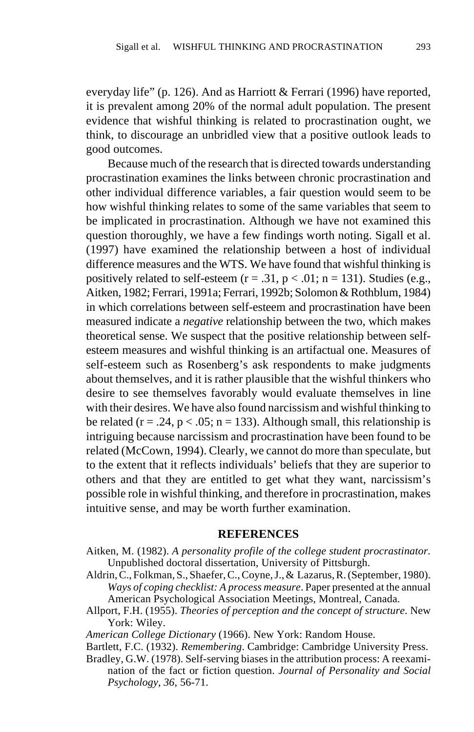everyday life" (p. 126). And as Harriott & Ferrari (1996) have reported, it is prevalent among 20% of the normal adult population. The present evidence that wishful thinking is related to procrastination ought, we think, to discourage an unbridled view that a positive outlook leads to good outcomes.

Because much of the research that is directed towards understanding procrastination examines the links between chronic procrastination and other individual difference variables, a fair question would seem to be how wishful thinking relates to some of the same variables that seem to be implicated in procrastination. Although we have not examined this question thoroughly, we have a few findings worth noting. Sigall et al. (1997) have examined the relationship between a host of individual difference measures and the WTS. We have found that wishful thinking is positively related to self-esteem ( $r = .31$ ,  $p < .01$ ;  $n = 131$ ). Studies (e.g., Aitken, 1982; Ferrari, 1991a; Ferrari, 1992b; Solomon & Rothblum, 1984) in which correlations between self-esteem and procrastination have been measured indicate a *negative* relationship between the two, which makes theoretical sense. We suspect that the positive relationship between selfesteem measures and wishful thinking is an artifactual one. Measures of self-esteem such as Rosenberg's ask respondents to make judgments about themselves, and it is rather plausible that the wishful thinkers who desire to see themselves favorably would evaluate themselves in line with their desires. We have also found narcissism and wishful thinking to be related ( $r = .24$ ,  $p < .05$ ;  $n = 133$ ). Although small, this relationship is intriguing because narcissism and procrastination have been found to be related (McCown, 1994). Clearly, we cannot do more than speculate, but to the extent that it reflects individuals' beliefs that they are superior to others and that they are entitled to get what they want, narcissism's possible role in wishful thinking, and therefore in procrastination, makes intuitive sense, and may be worth further examination.

#### **REFERENCES**

- Aitken, M. (1982). *A personality profile of the college student procrastinator.* Unpublished doctoral dissertation, University of Pittsburgh.
- Aldrin, C., Folkman, S., Shaefer, C., Coyne, J., & Lazarus, R. (September, 1980). *Ways of coping checklist: A process measure*. Paper presented at the annual American Psychological Association Meetings, Montreal, Canada.
- Allport, F.H. (1955). *Theories of perception and the concept of structure*. New York: Wiley.

*American College Dictionary* (1966). New York: Random House.

Bartlett, F.C. (1932). *Remembering*. Cambridge: Cambridge University Press.

Bradley, G.W. (1978). Self-serving biases in the attribution process: A reexamination of the fact or fiction question. *Journal of Personality and Social Psychology*, *36*, 56-71.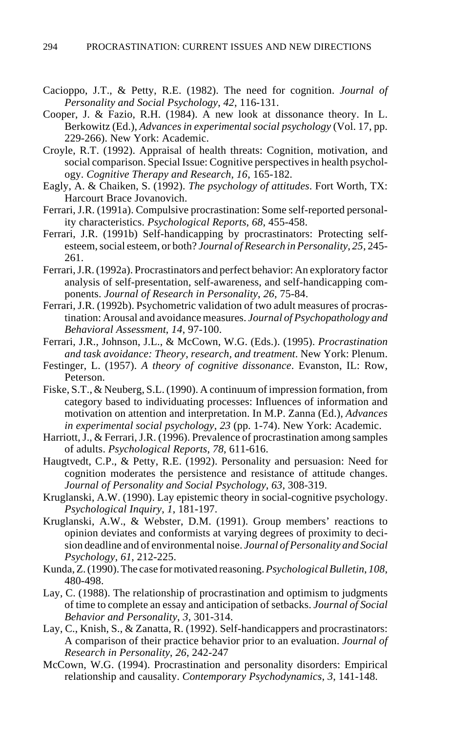- Cacioppo, J.T., & Petty, R.E. (1982). The need for cognition. *Journal of Personality and Social Psychology*, *42*, 116-131.
- Cooper, J. & Fazio, R.H. (1984). A new look at dissonance theory. In L. Berkowitz (Ed.), *Advances in experimental social psychology* (Vol. 17, pp. 229-266). New York: Academic.
- Croyle, R.T. (1992). Appraisal of health threats: Cognition, motivation, and social comparison. Special Issue: Cognitive perspectives in health psychology. *Cognitive Therapy and Research*, *16*, 165-182.
- Eagly, A. & Chaiken, S. (1992). *The psychology of attitudes*. Fort Worth, TX: Harcourt Brace Jovanovich.
- Ferrari, J.R. (1991a). Compulsive procrastination: Some self-reported personality characteristics. *Psychological Reports*, *68*, 455-458.
- Ferrari, J.R. (1991b) Self-handicapping by procrastinators: Protecting selfesteem, social esteem, or both? *Journal of Research in Personality*, *25*, 245- 261.
- Ferrari, J.R. (1992a). Procrastinators and perfect behavior: An exploratory factor analysis of self-presentation, self-awareness, and self-handicapping components. *Journal of Research in Personality*, *26*, 75-84.
- Ferrari, J.R. (1992b). Psychometric validation of two adult measures of procrastination: Arousal and avoidance measures. *Journal of Psychopathology and Behavioral Assessment*, *14*, 97-100.
- Ferrari, J.R., Johnson, J.L., & McCown, W.G. (Eds.). (1995). *Procrastination and task avoidance: Theory, research, and treatment*. New York: Plenum.
- Festinger, L. (1957). *A theory of cognitive dissonance*. Evanston, IL: Row, Peterson.
- Fiske, S.T., & Neuberg, S.L. (1990). A continuum of impression formation, from category based to individuating processes: Influences of information and motivation on attention and interpretation. In M.P. Zanna (Ed.), *Advances in experimental social psychology*, *23* (pp. 1-74). New York: Academic.
- Harriott, J., & Ferrari, J.R. (1996). Prevalence of procrastination among samples of adults. *Psychological Reports*, *78*, 611-616.
- Haugtvedt, C.P., & Petty, R.E. (1992). Personality and persuasion: Need for cognition moderates the persistence and resistance of attitude changes. *Journal of Personality and Social Psychology*, *63*, 308-319.
- Kruglanski, A.W. (1990). Lay epistemic theory in social-cognitive psychology. *Psychological Inquiry*, *1*, 181-197.
- Kruglanski, A.W., & Webster, D.M. (1991). Group members' reactions to opinion deviates and conformists at varying degrees of proximity to decision deadline and of environmental noise. *Journal of Personality and Social Psychology*, *61*, 212-225.
- Kunda, Z. (1990).The case for motivated reasoning. *Psychological Bulletin*, *108*, 480-498.
- Lay, C. (1988). The relationship of procrastination and optimism to judgments of time to complete an essay and anticipation of setbacks. *Journal of Social Behavior and Personality*, *3*, 301-314.
- Lay, C., Knish, S., & Zanatta, R. (1992). Self-handicappers and procrastinators: A comparison of their practice behavior prior to an evaluation. *Journal of Research in Personality*, *26*, 242-247
- McCown, W.G. (1994). Procrastination and personality disorders: Empirical relationship and causality. *Contemporary Psychodynamics*, *3*, 141-148.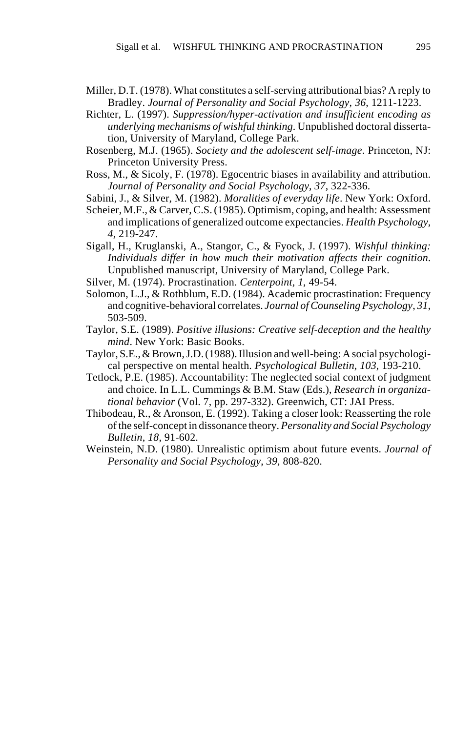- Miller, D.T. (1978). What constitutes a self-serving attributional bias? A reply to Bradley. *Journal of Personality and Social Psychology*, *36*, 1211-1223.
- Richter, L. (1997). *Suppression/hyper-activation and insufficient encoding as underlying mechanisms of wishful thinking*. Unpublished doctoral dissertation, University of Maryland, College Park.
- Rosenberg, M.J. (1965). *Society and the adolescent self-image*. Princeton, NJ: Princeton University Press.
- Ross, M., & Sicoly, F. (1978). Egocentric biases in availability and attribution. *Journal of Personality and Social Psychology*, *37*, 322-336.
- Sabini, J., & Silver, M. (1982). *Moralities of everyday life*. New York: Oxford.
- Scheier, M.F., & Carver, C.S. (1985). Optimism, coping, and health: Assessment and implications of generalized outcome expectancies. *Health Psychology*, *4*, 219-247.
- Sigall, H., Kruglanski, A., Stangor, C., & Fyock, J. (1997). *Wishful thinking: Individuals differ in how much their motivation affects their cognition*. Unpublished manuscript, University of Maryland, College Park.
- Silver, M. (1974). Procrastination. *Centerpoint*, *1*, 49-54.
- Solomon, L.J., & Rothblum, E.D. (1984). Academic procrastination: Frequency and cognitive-behavioral correlates. *Journal of Counseling Psychology*, *31*, 503-509.
- Taylor, S.E. (1989). *Positive illusions: Creative self-deception and the healthy mind*. New York: Basic Books.
- Taylor, S.E., & Brown, J.D. (1988).Illusion and well-being: A social psychological perspective on mental health. *Psychological Bulletin*, *103*, 193-210.
- Tetlock, P.E. (1985). Accountability: The neglected social context of judgment and choice. In L.L. Cummings & B.M. Staw (Eds.), *Research in organizational behavior* (Vol. 7, pp. 297-332). Greenwich, CT: JAI Press.
- Thibodeau, R., & Aronson, E. (1992). Taking a closer look: Reasserting the role of the self-concept in dissonance theory. *Personality and Social Psychology Bulletin*, *18*, 91-602.
- Weinstein, N.D. (1980). Unrealistic optimism about future events. *Journal of Personality and Social Psychology*, *39*, 808-820.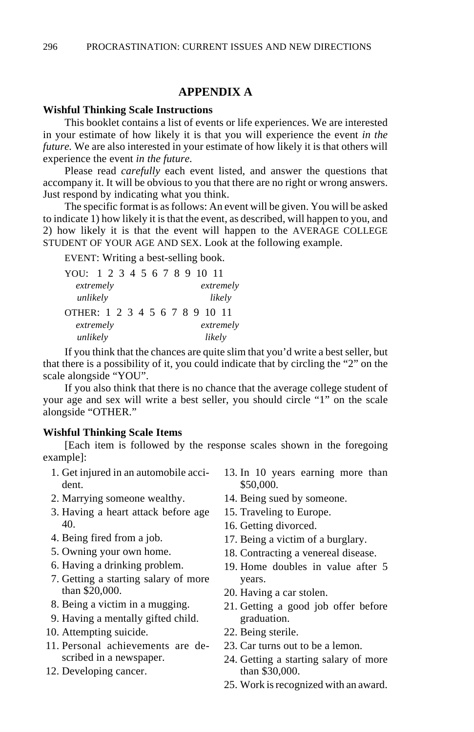# **APPENDIX A**

#### **Wishful Thinking Scale Instructions**

This booklet contains a list of events or life experiences. We are interested in your estimate of how likely it is that you will experience the event *in the future.* We are also interested in your estimate of how likely it is that others will experience the event *in the future.*

Please read *carefully* each event listed, and answer the questions that accompany it. It will be obvious to you that there are no right or wrong answers. Just respond by indicating what you think.

The specific format is as follows: An event will be given. You will be asked to indicate 1) how likely it is that the event, as described, will happen to you, and 2) how likely it is that the event will happen to the AVERAGE COLLEGE STUDENT OF YOUR AGE AND SEX. Look at the following example.

EVENT: Writing a best-selling book.

| YOU: 1 2 3 4 5 6 7 8 9 10 11   |  |  |  |  |  |  |  |  |        |           |           |  |  |  |
|--------------------------------|--|--|--|--|--|--|--|--|--------|-----------|-----------|--|--|--|
| extremely                      |  |  |  |  |  |  |  |  |        |           | extremely |  |  |  |
| unlikely                       |  |  |  |  |  |  |  |  |        | likely    |           |  |  |  |
| OTHER: 1 2 3 4 5 6 7 8 9 10 11 |  |  |  |  |  |  |  |  |        |           |           |  |  |  |
| extremely                      |  |  |  |  |  |  |  |  |        | extremely |           |  |  |  |
| unlikely                       |  |  |  |  |  |  |  |  | likely |           |           |  |  |  |

If you think that the chances are quite slim that you'd write a best seller, but that there is a possibility of it, you could indicate that by circling the "2" on the scale alongside "YOU".

If you also think that there is no chance that the average college student of your age and sex will write a best seller, you should circle "1" on the scale alongside "OTHER."

#### **Wishful Thinking Scale Items**

[Each item is followed by the response scales shown in the foregoing example]:

- 1. Get injured in an automobile accident.
- 2. Marrying someone wealthy.
- 3. Having a heart attack before age 40.
- 4. Being fired from a job.
- 5. Owning your own home.
- 6. Having a drinking problem.
- 7. Getting a starting salary of more than \$20,000.
- 8. Being a victim in a mugging.
- 9. Having a mentally gifted child.
- 10. Attempting suicide.
- 11. Personal achievements are described in a newspaper.
- 12. Developing cancer.
- 13. In 10 years earning more than \$50,000.
- 14. Being sued by someone.
- 15. Traveling to Europe.
- 16. Getting divorced.
- 17. Being a victim of a burglary.
- 18. Contracting a venereal disease.
- 19. Home doubles in value after 5 years.
- 20. Having a car stolen.
- 21. Getting a good job offer before graduation.
- 22. Being sterile.
- 23. Car turns out to be a lemon.
- 24. Getting a starting salary of more than \$30,000.
- 25. Work is recognized with an award.